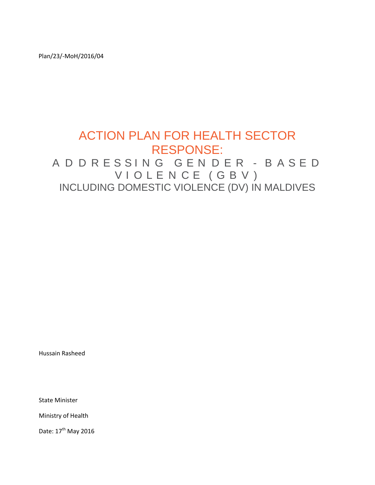Plan/23/-MoH/2016/04

# ACTION PLAN FOR HEALTH SECTOR RESPONSE: A D D R E S S I N G G E N D E R - B A S E D V I O L E N C E ( G B V ) INCLUDING DOMESTIC VIOLENCE (DV) IN MALDIVES

Hussain Rasheed

State Minister

Ministry of Health

Date: 17<sup>th</sup> May 2016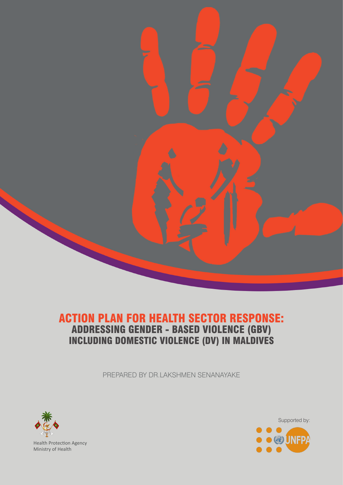

# ACTION PLAN FOR HEALTH SECTOR RESPONSE: ADDRESSING GENDER - BASED VIOLENCE (GBV) INCLUDING DOMESTIC VIOLENCE (DV) IN MALDIVES

PREPARED BY DR.LAKSHMEN SENANAYAKE



Health Protection Agency Ministry of Health

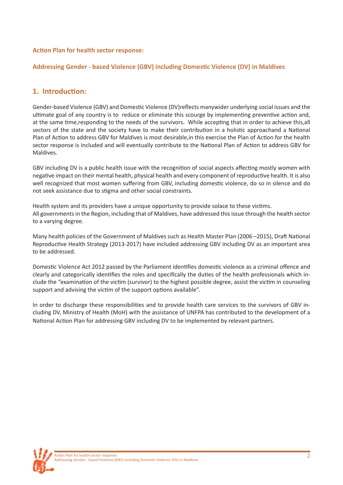# **Action Plan for health sector response:**

# **Addressing Gender - based Violence (GBV) including Domestic Violence (DV) in Maldives**

# **1. Introduction:**

Gender-based Violence (GBV) and Domestic Violence (DV)reflects manywider underlying social issues and the ultimate goal of any country is to reduce or eliminate this scourge by implementing preventive action and, at the same time,responding to the needs of the survivors. While accepting that in order to achieve this,all sectors of the state and the society have to make their contribution in a holistic approachand a National Plan of Action to address GBV for Maldives is most desirable,in this exercise the Plan of Action for the health sector response is included and will eventually contribute to the National Plan of Action to address GBV for Maldives.

GBV including DV is a public health issue with the recognition of social aspects affecting mostly women with negative impact on their mental health, physical health and every component of reproductive health. It is also well recognized that most women suffering from GBV, including domestic violence, do so in silence and do not seek assistance due to stigma and other social constraints.

Health system and its providers have a unique opportunity to provide solace to these victims. All governments in the Region, including that of Maldives, have addressed this issue through the health sector to a varying degree.

Many health policies of the Government of Maldives such as Health Master Plan (2006 –2015), Draft National Reproductive Health Strategy (2013-2017) have included addressing GBV including DV as an important area to be addressed.

Domestic Violence Act 2012 passed by the Parliament identifies domestic violence as a criminal offence and clearly and categorically identifies the roles and specifically the duties of the health professionals which include the "examination of the victim (survivor) to the highest possible degree, assist the victim in counseling support and advising the victim of the support options available".

In order to discharge these responsibilities and to provide health care services to the survivors of GBV including DV, Ministry of Health (MoH) with the assistance of UNFPA has contributed to the development of a National Action Plan for addressing GBV including DV to be implemented by relevant partners.

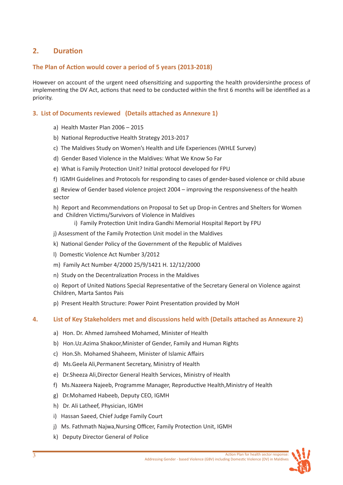# **2. Duration**

# **The Plan of Action would cover a period of 5 years (2013-2018)**

However on account of the urgent need ofsensitizing and supporting the health providersinthe process of implementing the DV Act, actions that need to be conducted within the first 6 months will be identified as a priority.

# **3. List of Documents reviewed (Details attached as Annexure 1)**

- a) Health Master Plan 2006 2015
- b) National Reproductive Health Strategy 2013-2017
- c) The Maldives Study on Women's Health and Life Experiences (WHLE Survey)
- d) Gender Based Violence in the Maldives: What We Know So Far
- e) What is Family Protection Unit? Initial protocol developed for FPU
- f) IGMH Guidelines and Protocols for responding to cases of gender-based violence or child abuse

g) Review of Gender based violence project 2004 – improving the responsiveness of the health sector

h) Report and Recommendations on Proposal to Set up Drop-in Centres and Shelters for Women and Children Victims/Survivors of Violence in Maldives

- i) Family Protection Unit Indira Gandhi Memorial Hospital Report by FPU
- j) Assessment of the Family Protection Unit model in the Maldives
- k) National Gender Policy of the Government of the Republic of Maldives
- l) Domestic Violence Act Number 3/2012
- m) Family Act Number 4/2000 25/9/1421 H. 12/12/2000
- n) Study on the Decentralization Process in the Maldives

o) Report of United Nations Special Representative of the Secretary General on Violence against Children, Marta Santos Pais

p) Present Health Structure: Power Point Presentation provided by MoH

# **4. List of Key Stakeholders met and discussions held with (Details attached as Annexure 2)**

- a) Hon. Dr. Ahmed Jamsheed Mohamed, Minister of Health
- b) Hon.Uz.Azima Shakoor,Minister of Gender, Family and Human Rights
- c) Hon.Sh. Mohamed Shaheem, Minister of Islamic Affairs
- d) Ms.Geela Ali,Permanent Secretary, Ministry of Health
- e) Dr.Sheeza Ali,Director General Health Services, Ministry of Health
- f) Ms.Nazeera Najeeb, Programme Manager, Reproductive Health,Ministry of Health
- g) Dr.Mohamed Habeeb, Deputy CEO, IGMH
- h) Dr. Ali Latheef, Physician, IGMH
- i) Hassan Saeed, Chief Judge Family Court
- j) Ms. Fathmath Najwa,Nursing Officer, Family Protection Unit, IGMH
- k) Deputy Director General of Police

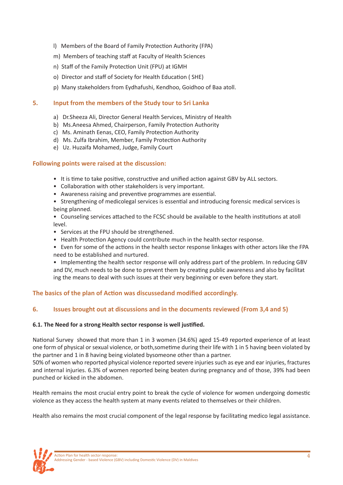- l) Members of the Board of Family Protection Authority (FPA)
- m) Members of teaching staff at Faculty of Health Sciences
- n) Staff of the Family Protection Unit (FPU) at IGMH
- o) Director and staff of Society for Health Education ( SHE)
- p) Many stakeholders from Eydhafushi, Kendhoo, Goidhoo of Baa atoll.

### **5. Input from the members of the Study tour to Sri Lanka**

- a) Dr.Sheeza Ali, Director General Health Services, Ministry of Health
- b) Ms.Aneesa Ahmed, Chairperson, Family Protection Authority
- c) Ms. Aminath Eenas, CEO, Family Protection Authority
- d) Ms. Zulfa Ibrahim, Member, Family Protection Authority
- e) Uz. Huzaifa Mohamed, Judge, Family Court

### **Following points were raised at the discussion:**

- It is time to take positive, constructive and unified action against GBV by ALL sectors.
- Collaboration with other stakeholders is very important.
- Awareness raising and preventive programmes are essential.
- Strengthening of medicolegal services is essential and introducing forensic medical services is being planned.
- Counseling services attached to the FCSC should be available to the health institutions at atoll level.
- Services at the FPU should be strengthened.
- Health Protection Agency could contribute much in the health sector response.
- Even for some of the actions in the health sector response linkages with other actors like the FPA need to be established and nurtured.

• Implementing the health sector response will only address part of the problem. In reducing GBV and DV, much needs to be done to prevent them by creating public awareness and also by facilitat ing the means to deal with such issues at their very beginning or even before they start.

# **The basics of the plan of Action was discussedand modified accordingly.**

# **6. Issues brought out at discussions and in the documents reviewed (From 3,4 and 5)**

#### **6.1. The Need for a strong Health sector response is well justified.**

National Survey showed that more than 1 in 3 women (34.6%) aged 15-49 reported experience of at least one form of physical or sexual violence, or both,sometime during their life with 1 in 5 having been violated by the partner and 1 in 8 having being violated bysomeone other than a partner.

50% of women who reported physical violence reported severe injuries such as eye and ear injuries, fractures and internal injuries. 6.3% of women reported being beaten during pregnancy and of those, 39% had been punched or kicked in the abdomen.

Health remains the most crucial entry point to break the cycle of violence for women undergoing domestic violence as they access the health system at many events related to themselves or their children.

Health also remains the most crucial component of the legal response by facilitating medico legal assistance.

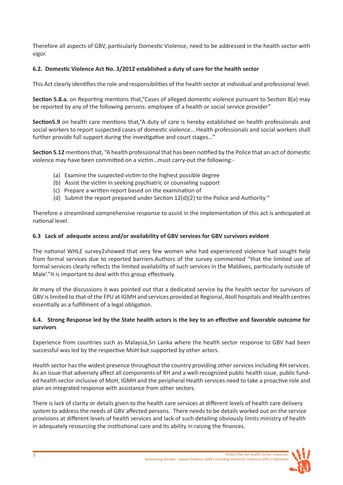Therefore all aspects of GBV, particularly Domestic Violence, need to be addressed in the health sector with vigor.

# **6.2. Domestic Violence Act No. 3/2012 established a duty of care for the health sector**

This Act clearly identifies the role and responsibilities of the health sector at individual and professional level.

**Section 5.8.a.** on Reporting mentions that,"Cases of alleged domestic violence pursuant to Section 8(a) may be reported by any of the following persons: employee of a health or social service provider"

**Section5.9** on health care mentions that,"A duty of care is hereby established on health professionals and social workers to report suspected cases of domestic violence… Health professionals and social workers shall further provide full support during the investigative and court stages…"

**Section 5.12** mentions that, "A health professional that has been notified by the Police that an act of domestic violence may have been committed on a victim…must carry-out the following:-

- (a) Examine the suspected victim to the highest possible degree
- (b) Assist the victim in seeking psychiatric or counseling support
- (c) Prepare a written report based on the examination of
- (d) Submit the report prepared under Section 12(d)(2) to the Police and Authority "

Therefore a streamlined comprehensive response to assist in the implementation of this act is anticipated at national level.

# **6.3 Lack of adequate access and/or availability of GBV services for GBV survivors evident**

The national WHLE survey2showed that very few women who had experienced violence had sought help from formal services due to reported barriers.Authors of the survey commented "that the limited use of formal services clearly reflects the limited availability of such services in the Maldives, particularly outside of Male'."It is important to deal with this group effectively.

At many of the discussions it was pointed out that a dedicated service by the health sector for survivors of GBV is limited to that of the FPU at IGMH and services provided at Regional, Atoll hospitals and Health centres essentially as a fulfillment of a legal obligation.

# **6.4. Strong Response led by the State health actors is the key to an effective and favorable outcome for survivors**

Experience from countries such as Malaysia,Sri Lanka where the health sector response to GBV had been successful was led by the respective MoH but supported by other actors.

Health sector has the widest presence throughout the country providing other services including RH services. As an issue that adversely affect all components of RH and a well-recognized public health issue, public funded health sector inclusive of MoH, IGMH and the peripheral Health services need to take a proactive role and plan an integrated response with assistance from other sectors.

There is lack of clarity or details given to the health care services at different levels of health care delivery system to address the needs of GBV affected persons. There needs to be details worked out on the service provisions at different levels of health services and lack of such detailing obviously limits ministry of health in adequately resourcing the institutional care and its ability in raising the finances.

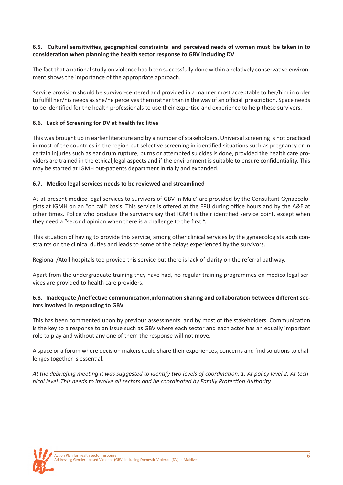# **6.5. Cultural sensitivities, geographical constraints and perceived needs of women must be taken in to consideration when planning the health sector response to GBV including DV**

The fact that a national study on violence had been successfully done within a relatively conservative environment shows the importance of the appropriate approach.

Service provision should be survivor-centered and provided in a manner most acceptable to her/him in order to fulfill her/his needs as she/he perceives them rather than in the way of an official prescription. Space needs to be identified for the health professionals to use their expertise and experience to help these survivors.

# **6.6. Lack of Screening for DV at health facilities**

This was brought up in earlier literature and by a number of stakeholders. Universal screening is not practiced in most of the countries in the region but selective screening in identified situations such as pregnancy or in certain injuries such as ear drum rupture, burns or attempted suicides is done, provided the health care providers are trained in the ethical,legal aspects and if the environment is suitable to ensure confidentiality. This may be started at IGMH out-patients department initially and expanded.

### **6.7. Medico legal services needs to be reviewed and streamlined**

As at present medico legal services to survivors of GBV in Male' are provided by the Consultant Gynaecologists at IGMH on an "on call" basis. This service is offered at the FPU during office hours and by the A&E at other times. Police who produce the survivors say that IGMH is their identified service point, except when they need a "second opinion when there is a challenge to the first ".

This situation of having to provide this service, among other clinical services by the gynaecologists adds constraints on the clinical duties and leads to some of the delays experienced by the survivors.

Regional /Atoll hospitals too provide this service but there is lack of clarity on the referral pathway.

Apart from the undergraduate training they have had, no regular training programmes on medico legal services are provided to health care providers.

# **6.8. Inadequate /ineffective communication,information sharing and collaboration between different sectors involved in responding to GBV**

This has been commented upon by previous assessments and by most of the stakeholders. Communication is the key to a response to an issue such as GBV where each sector and each actor has an equally important role to play and without any one of them the response will not move.

A space or a forum where decision makers could share their experiences, concerns and find solutions to challenges together is essential.

*At the debriefing meeting it was suggested to identify two levels of coordination. 1. At policy level 2. At technical level .This needs to involve all sectors and be coordinated by Family Protection Authority.*

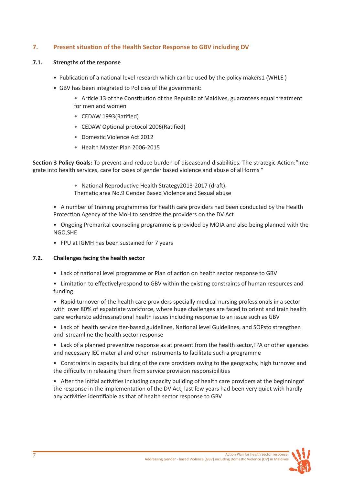# **7. Present situation of the Health Sector Response to GBV including DV**

# **7.1. Strengths of the response**

- Publication of a national level research which can be used by the policy makers1 (WHLE )
- GBV has been integrated to Policies of the government:
	- Article 13 of the Constitution of the Republic of Maldives, guarantees equal treatment for men and women
	- CEDAW 1993(Ratified)
	- CEDAW Optional protocol 2006(Ratified)
	- Domestic Violence Act 2012
	- Health Master Plan 2006-2015

**Section 3 Policy Goals:** To prevent and reduce burden of diseaseand disabilities. The strategic Action:"Integrate into health services, care for cases of gender based violence and abuse of all forms "

- National Reproductive Health Strategy2013-2017 (draft). Thematic area No.9 Gender Based Violence and Sexual abuse
- A number of training programmes for health care providers had been conducted by the Health Protection Agency of the MoH to sensitize the providers on the DV Act
- Ongoing Premarital counseling programme is provided by MOIA and also being planned with the NGO,SHE
- FPU at IGMH has been sustained for 7 years

# **7.2. Challenges facing the health sector**

- Lack of national level programme or Plan of action on health sector response to GBV
- Limitation to effectivelyrespond to GBV within the existing constraints of human resources and funding
- Rapid turnover of the health care providers specially medical nursing professionals in a sector with over 80% of expatriate workforce, where huge challenges are faced to orient and train health care workersto addressnational health issues including response to an issue such as GBV
- Lack of health service tier-based guidelines, National level Guidelines, and SOPsto strengthen and streamline the health sector response
- Lack of a planned preventive response as at present from the health sector,FPA or other agencies and necessary IEC material and other instruments to facilitate such a programme
- Constraints in capacity building of the care providers owing to the geography, high turnover and the difficulty in releasing them from service provision responsibilities
- After the initial activities including capacity building of health care providers at the beginningof the response in the implementation of the DV Act, last few years had been very quiet with hardly any activities identifiable as that of health sector response to GBV

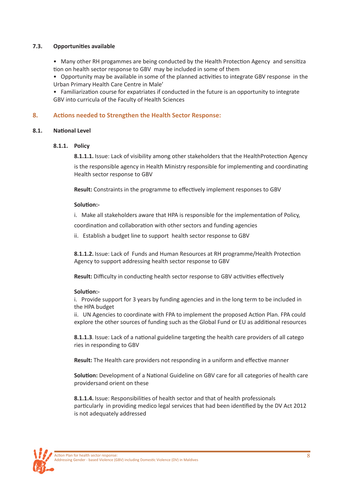# **7.3. Opportunities available**

• Many other RH progammes are being conducted by the Health Protection Agency and sensitiza tion on health sector response to GBV may be included in some of them

• Opportunity may be available in some of the planned activities to integrate GBV response in the Urban Primary Health Care Centre in Male'

• Familiarization course for expatriates if conducted in the future is an opportunity to integrate GBV into curricula of the Faculty of Health Sciences

# **8. Actions needed to Strengthen the Health Sector Response:**

#### **8.1. National Level**

#### **8.1.1. Policy**

**8.1.1.1.** Issue: Lack of visibility among other stakeholders that the HealthProtection Agency

is the responsible agency in Health Ministry responsible for implementing and coordinating Health sector response to GBV

**Result:** Constraints in the programme to effectively implement responses to GBV

#### **Solution:-**

i. Make all stakeholders aware that HPA is responsible for the implementation of Policy,

coordination and collaboration with other sectors and funding agencies

ii. Establish a budget line to support health sector response to GBV

 **8.1.1.2.** Issue: Lack of Funds and Human Resources at RH programme/Health Protection Agency to support addressing health sector response to GBV

**Result:** Difficulty in conducting health sector response to GBV activities effectively

#### **Solution:-**

i. Provide support for 3 years by funding agencies and in the long term to be included in the HPA budget

ii. UN Agencies to coordinate with FPA to implement the proposed Action Plan. FPA could explore the other sources of funding such as the Global Fund or EU as additional resources

 **8.1.1.3**. Issue: Lack of a national guideline targeting the health care providers of all catego ries in responding to GBV

**Result:** The Health care providers not responding in a uniform and effective manner

 **Solution:** Development of a National Guideline on GBV care for all categories of health care providersand orient on these

 **8.1.1.4.** Issue: Responsibilities of health sector and that of health professionals particularly in providing medico legal services that had been identified by the DV Act 2012 is not adequately addressed

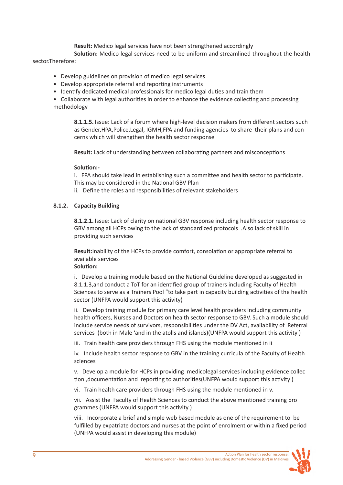**Result:** Medico legal services have not been strengthened accordingly

 **Solution:** Medico legal services need to be uniform and streamlined throughout the health sector.Therefore:

- Develop guidelines on provision of medico legal services
- Develop appropriate referral and reporting instruments
- Identify dedicated medical professionals for medico legal duties and train them
- Collaborate with legal authorities in order to enhance the evidence collecting and processing methodology

 **8.1.1.5.** Issue: Lack of a forum where high-level decision makers from different sectors such as Gender,HPA,Police,Legal, IGMH,FPA and funding agencies to share their plans and con cerns which will strengthen the health sector response

**Result:** Lack of understanding between collaborating partners and misconceptions

### **Solution:-**

i. FPA should take lead in establishing such a committee and health sector to participate. This may be considered in the National GBV Plan

ii. Define the roles and responsibilities of relevant stakeholders

### **8.1.2. Capacity Building**

 **8.1.2.1.** Issue: Lack of clarity on national GBV response including health sector response to GBV among all HCPs owing to the lack of standardized protocols .Also lack of skill in providing such services

 **Result:**Inability of the HCPs to provide comfort, consolation or appropriate referral to available services

# **Solution:**

 i. Develop a training module based on the National Guideline developed as suggested in 8.1.1.3,and conduct a ToT for an identified group of trainers including Faculty of Health Sciences to serve as a Trainers Pool "to take part in capacity building activities of the health sector (UNFPA would support this activity)

 ii. Develop training module for primary care level health providers including community health officers, Nurses and Doctors on health sector response to GBV. Such a module should include service needs of survivors, responsibilities under the DV Act, availability of Referral services (both in Male 'and in the atolls and islands)(UNFPA would support this activity )

iii. Train health care providers through FHS using the module mentioned in ii

 iv. Include health sector response to GBV in the training curricula of the Faculty of Health sciences

 v. Develop a module for HCPs in providing medicolegal services including evidence collec tion ,documentation and reporting to authorities(UNFPA would support this activity )

vi. Train health care providers through FHS using the module mentioned in v.

 vii. Assist the Faculty of Health Sciences to conduct the above mentioned training pro grammes (UNFPA would support this activity )

 viii. Incorporate a brief and simple web based module as one of the requirement to be fulfilled by expatriate doctors and nurses at the point of enrolment or within a fixed period (UNFPA would assist in developing this module)

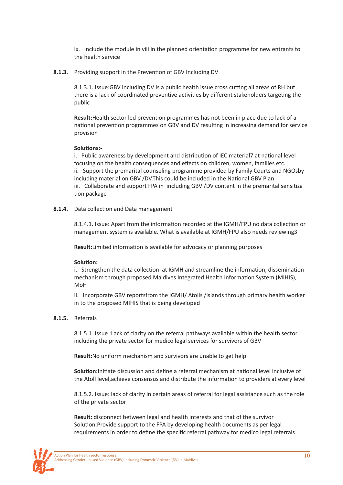ix. Include the module in viii in the planned orientation programme for new entrants to the health service

**8.1.3.** Providing support in the Prevention of GBV Including DV

8.1.3.1. Issue:GBV including DV is a public health issue cross cutting all areas of RH but there is a lack of coordinated preventive activities by different stakeholders targeting the public

 **Result:**Health sector led prevention programmes has not been in place due to lack of a national prevention programmes on GBV and DV resulting in increasing demand for service provision

#### **Solutions:-**

i. Public awareness by development and distribution of IEC material7 at national level focusing on the health consequences and effects on children, women, families etc. ii. Support the premarital counseling programme provided by Family Courts and NGOsby including material on GBV /DV.This could be included in the National GBV Plan iii. Collaborate and support FPA in including GBV /DV content in the premarital sensitiza tion package

**8.1.4.** Data collection and Data management

8.1.4.1. Issue: Apart from the information recorded at the IGMH/FPU no data collection or management system is available. What is available at IGMH/FPU also needs reviewing3

**Result:**Limited information is available for advocacy or planning purposes

#### **Solution:**

i. Strengthen the data collection at IGMH and streamline the information, dissemination mechanism through proposed Maldives Integrated Health Information System (MIHIS), MoH

 ii. Incorporate GBV reportsfrom the IGMH/ Atolls /islands through primary health worker in to the proposed MIHIS that is being developed

#### **8.1.5.** Referrals

8.1.5.1. Issue :Lack of clarity on the referral pathways available within the health sector including the private sector for medico legal services for survivors of GBV

**Result:**No uniform mechanism and survivors are unable to get help

 **Solution:**Initiate discussion and define a referral mechanism at national level inclusive of the Atoll level,achieve consensus and distribute the information to providers at every level

8.1.5.2. Issue: lack of clarity in certain areas of referral for legal assistance such as the role of the private sector

 **Result:** disconnect between legal and health interests and that of the survivor Solution:Provide support to the FPA by developing health documents as per legal requirements in order to define the specific referral pathway for medico legal referrals

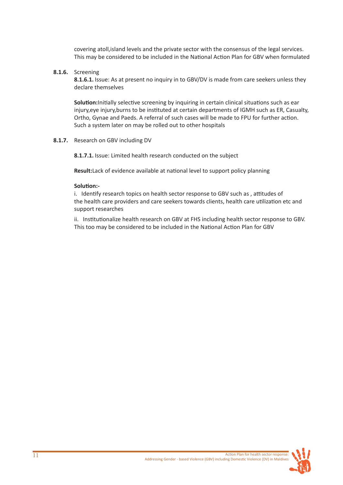covering atoll,island levels and the private sector with the consensus of the legal services. This may be considered to be included in the National Action Plan for GBV when formulated

**8.1.6.** Screening

 **8.1.6.1.** Issue: As at present no inquiry in to GBV/DV is made from care seekers unless they declare themselves

 **Solution:**Initially selective screening by inquiring in certain clinical situations such as ear injury,eye injury,burns to be instituted at certain departments of IGMH such as ER, Casualty, Ortho, Gynae and Paeds. A referral of such cases will be made to FPU for further action. Such a system later on may be rolled out to other hospitals

**8.1.7.** Research on GBV including DV

**8.1.7.1.** Issue: Limited health research conducted on the subject

**Result:**Lack of evidence available at national level to support policy planning

#### **Solution:-**

i. Identify research topics on health sector response to GBV such as , attitudes of the health care providers and care seekers towards clients, health care utilization etc and support researches

 ii. Institutionalize health research on GBV at FHS including health sector response to GBV. This too may be considered to be included in the National Action Plan for GBV

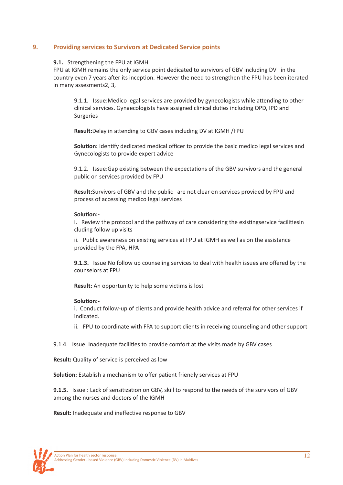# **9. Providing services to Survivors at Dedicated Service points**

#### **9.1.** Strengthening the FPU at IGMH

FPU at IGMH remains the only service point dedicated to survivors of GBV including DV in the country even 7 years after its inception. However the need to strengthen the FPU has been iterated in many assesments2, 3,

9.1.1. Issue:Medico legal services are provided by gynecologists while attending to other clinical services. Gynaecologists have assigned clinical duties including OPD, IPD and Surgeries

**Result:**Delay in attending to GBV cases including DV at IGMH /FPU

**Solution:** Identify dedicated medical officer to provide the basic medico legal services and Gynecologists to provide expert advice

9.1.2. Issue:Gap existing between the expectations of the GBV survivors and the general public on services provided by FPU

 **Result:**Survivors of GBV and the public are not clear on services provided by FPU and process of accessing medico legal services

#### **Solution:-**

i. Review the protocol and the pathway of care considering the existingservice facilitiesin cluding follow up visits

 ii. Public awareness on existing services at FPU at IGMH as well as on the assistance provided by the FPA, HPA

**9.1.3.** Issue:No follow up counseling services to deal with health issues are offered by the counselors at FPU

**Result:** An opportunity to help some victims is lost

#### **Solution:-**

i. Conduct follow-up of clients and provide health advice and referral for other services if indicated.

ii. FPU to coordinate with FPA to support clients in receiving counseling and other support

9.1.4. Issue: Inadequate facilities to provide comfort at the visits made by GBV cases

**Result:** Quality of service is perceived as low

**Solution:** Establish a mechanism to offer patient friendly services at FPU

**9.1.5.** Issue : Lack of sensitization on GBV, skill to respond to the needs of the survivors of GBV among the nurses and doctors of the IGMH

**Result:** Inadequate and ineffective response to GBV

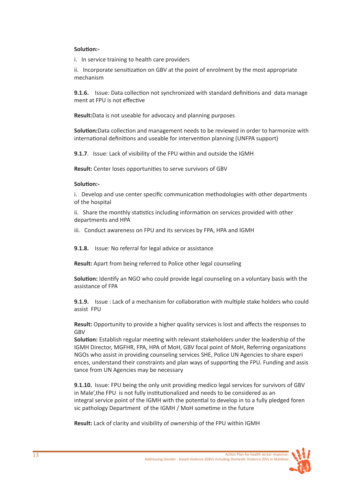### **Solution:-**

i. In service training to health care providers

ii. Incorporate sensitization on GBV at the point of enrolment by the most appropriate mechanism

 **9.1.6.** Issue: Data collection not synchronized with standard definitions and data manage ment at FPU is not effective

**Result:**Data is not useable for advocacy and planning purposes

 **Solution:**Data collection and management needs to be reviewed in order to harmonize with international definitions and useable for intervention planning (UNFPA support)

**9.1.7**. Issue: Lack of visibility of the FPU within and outside the IGMH

**Result:** Center loses opportunities to serve survivors of GBV

### **Solution:-**

 i. Develop and use center specific communication methodologies with other departments of the hospital

 ii. Share the monthly statistics including information on services provided with other departments and HPA

iii. Conduct awareness on FPU and its services by FPA, HPA and IGMH

**9.1.8.** Issue: No referral for legal advice or assistance

**Result:** Apart from being referred to Police other legal counseling

 **Solution:** Identify an NGO who could provide legal counseling on a voluntary basis with the assistance of FPA

 **9.1.9.** Issue : Lack of a mechanism for collaboration with multiple stake holders who could assist FPU

 **Result:** Opportunity to provide a higher quality services is lost and affects the responses to GBV

 **Solution:** Establish regular meeting with relevant stakeholders under the leadership of the IGMH Director, MGFHR, FPA, HPA of MoH, GBV focal point of MoH, Referring organizations NGOs who assist in providing counseling services SHE, Police UN Agencies to share experi ences, understand their constraints and plan ways of supporting the FPU. Funding and assis tance from UN Agencies may be necessary

 **9.1.10.** Issue: FPU being the only unit providing medico legal services for survivors of GBV in Male',the FPU is not fully institutionalized and needs to be considered as an integral service point of the IGMH with the potential to develop in to a fully pledged foren sic pathology Department of the IGMH / MoH sometime in the future

**Result:** Lack of clarity and visibility of ownership of the FPU within IGMH

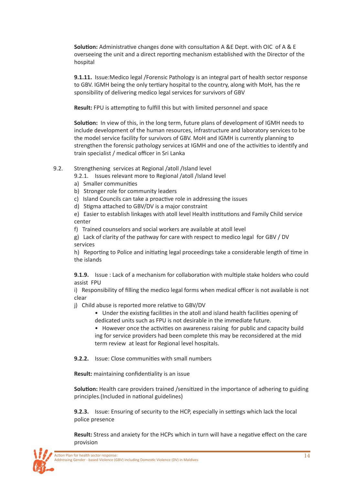**Solution:** Administrative changes done with consultation A &E Dept. with OIC of A & E overseeing the unit and a direct reporting mechanism established with the Director of the hospital

 **9.1.11.** Issue:Medico legal /Forensic Pathology is an integral part of health sector response to GBV. IGMH being the only tertiary hospital to the country, along with MoH, has the re sponsibility of delivering medico legal services for survivors of GBV

**Result:** FPU is attempting to fulfill this but with limited personnel and space

 **Solution:** In view of this, in the long term, future plans of development of IGMH needs to include development of the human resources, infrastructure and laboratory services to be the model service facility for survivors of GBV. MoH and IGMH is currently planning to strengthen the forensic pathology services at IGMH and one of the activities to identify and train specialist / medical officer in Sri Lanka

9.2. Strengthening services at Regional /atoll /Island level

9.2.1. Issues relevant more to Regional /atoll /Island level

- a) Smaller communities
- b) Stronger role for community leaders
- c) Island Councils can take a proactive role in addressing the issues
- d) Stigma attached to GBV/DV is a major constraint

e) Easier to establish linkages with atoll level Health institutions and Family Child service center

f) Trained counselors and social workers are available at atoll level

g) Lack of clarity of the pathway for care with respect to medico legal for GBV / DV services

h) Reporting to Police and initiating legal proceedings take a considerable length of time in the islands

 **9.1.9.** Issue : Lack of a mechanism for collaboration with multiple stake holders who could assist FPU

i) Responsibility of filling the medico legal forms when medical officer is not available is not clear

- j) Child abuse is reported more relative to GBV/DV
	- Under the existing facilities in the atoll and island health facilities opening of dedicated units such as FPU is not desirable in the immediate future.
	- However once the activities on awareness raising for public and capacity build ing for service providers had been complete this may be reconsidered at the mid term review at least for Regional level hospitals.

**9.2.2.** Issue: Close communities with small numbers

**Result:** maintaining confidentiality is an issue

 **Solution:** Health care providers trained /sensitized in the importance of adhering to guiding principles.(Included in national guidelines)

 **9.2.3.** Issue: Ensuring of security to the HCP, especially in settings which lack the local police presence

 **Result:** Stress and anxiety for the HCPs which in turn will have a negative effect on the care provision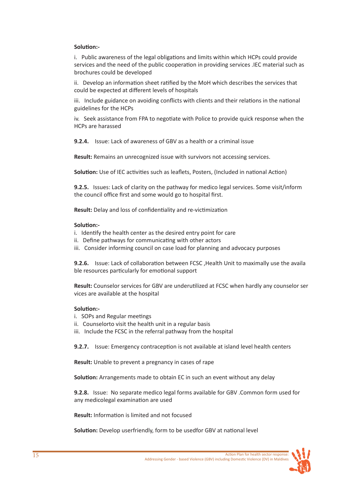### **Solution:-**

 i. Public awareness of the legal obligations and limits within which HCPs could provide services and the need of the public cooperation in providing services .IEC material such as brochures could be developed

 ii. Develop an information sheet ratified by the MoH which describes the services that could be expected at different levels of hospitals

 iii. Include guidance on avoiding conflicts with clients and their relations in the national guidelines for the HCPs

 iv. Seek assistance from FPA to negotiate with Police to provide quick response when the HCPs are harassed

**9.2.4.** Issue: Lack of awareness of GBV as a health or a criminal issue

**Result:** Remains an unrecognized issue with survivors not accessing services.

**Solution:** Use of IEC activities such as leaflets, Posters, (Included in national Action)

 **9.2.5.** Issues: Lack of clarity on the pathway for medico legal services. Some visit/inform the council office first and some would go to hospital first.

**Result:** Delay and loss of confidentiality and re-victimization

#### **Solution:-**

- i. Identify the health center as the desired entry point for care
- ii. Define pathways for communicating with other actors
- iii. Consider informing council on case load for planning and advocacy purposes

 **9.2.6.** Issue: Lack of collaboration between FCSC ,Health Unit to maximally use the availa ble resources particularly for emotional support

 **Result:** Counselor services for GBV are underutilized at FCSC when hardly any counselor ser vices are available at the hospital

#### **Solution:-**

- i. SOPs and Regular meetings
- ii. Counselorto visit the health unit in a regular basis
- iii. Include the FCSC in the referral pathway from the hospital

**9.2.7.** Issue: Emergency contraception is not available at island level health centers

**Result:** Unable to prevent a pregnancy in cases of rape

**Solution:** Arrangements made to obtain EC in such an event without any delay

**9.2.8.** Issue: No separate medico legal forms available for GBV .Common form used for any medicolegal examination are used

**Result:** Information is limited and not focused

**Solution:** Develop userfriendly, form to be usedfor GBV at national level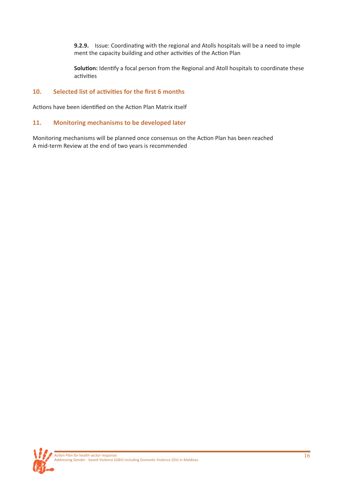**9.2.9.** Issue: Coordinating with the regional and Atolls hospitals will be a need to imple ment the capacity building and other activities of the Action Plan

Solution: Identify a focal person from the Regional and Atoll hospitals to coordinate these activities

# **10. Selected list of activities for the first 6 months**

Actions have been identified on the Action Plan Matrix itself

# **11. Monitoring mechanisms to be developed later**

Monitoring mechanisms will be planned once consensus on the Action Plan has been reached A mid-term Review at the end of two years is recommended

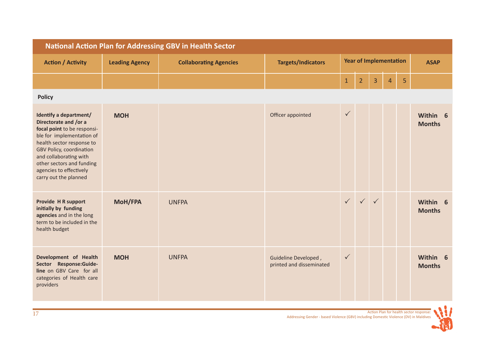| <b>National Action Plan for Addressing GBV in Health Sector</b>                                                                                                                                                                                                                 |                       |                               |                                                  |                               |                |              |                |   |                           |
|---------------------------------------------------------------------------------------------------------------------------------------------------------------------------------------------------------------------------------------------------------------------------------|-----------------------|-------------------------------|--------------------------------------------------|-------------------------------|----------------|--------------|----------------|---|---------------------------|
| <b>Action / Activity</b>                                                                                                                                                                                                                                                        | <b>Leading Agency</b> | <b>Collaborating Agencies</b> | <b>Targets/Indicators</b>                        | <b>Year of Implementation</b> |                | <b>ASAP</b>  |                |   |                           |
|                                                                                                                                                                                                                                                                                 |                       |                               |                                                  | $1\,$                         | $\overline{2}$ | 3            | $\overline{4}$ | 5 |                           |
| <b>Policy</b>                                                                                                                                                                                                                                                                   |                       |                               |                                                  |                               |                |              |                |   |                           |
| Identify a department/<br>Directorate and /or a<br>focal point to be responsi-<br>ble for implementation of<br>health sector response to<br>GBV Policy, coordination<br>and collaborating with<br>other sectors and funding<br>agencies to effectively<br>carry out the planned | <b>MOH</b>            |                               | Officer appointed                                | $\checkmark$                  |                |              |                |   | Within 6<br><b>Months</b> |
| Provide H R support<br>initially by funding<br>agencies and in the long<br>term to be included in the<br>health budget                                                                                                                                                          | <b>MoH/FPA</b>        | <b>UNFPA</b>                  |                                                  | $\checkmark$                  | $\checkmark$   | $\checkmark$ |                |   | Within 6<br><b>Months</b> |
| Development of Health<br>Sector Response:Guide-<br>line on GBV Care for all<br>categories of Health care<br>providers                                                                                                                                                           | <b>MOH</b>            | <b>UNFPA</b>                  | Guideline Developed,<br>printed and disseminated | $\checkmark$                  |                |              |                |   | Within 6<br><b>Months</b> |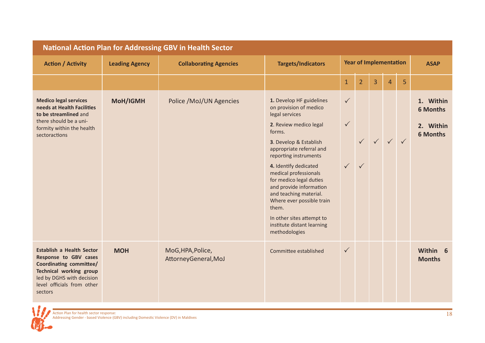| <b>National Action Plan for Addressing GBV in Health Sector</b>                                                                                                                              |                       |                                           |                                                                                                                                                                                                                                                                                                                                                                                                                                             |                                              |                               |              |                |              |                                                              |
|----------------------------------------------------------------------------------------------------------------------------------------------------------------------------------------------|-----------------------|-------------------------------------------|---------------------------------------------------------------------------------------------------------------------------------------------------------------------------------------------------------------------------------------------------------------------------------------------------------------------------------------------------------------------------------------------------------------------------------------------|----------------------------------------------|-------------------------------|--------------|----------------|--------------|--------------------------------------------------------------|
| <b>Action / Activity</b>                                                                                                                                                                     | <b>Leading Agency</b> | <b>Collaborating Agencies</b>             | <b>Targets/Indicators</b>                                                                                                                                                                                                                                                                                                                                                                                                                   |                                              | <b>Year of Implementation</b> |              |                |              | <b>ASAP</b>                                                  |
|                                                                                                                                                                                              |                       |                                           |                                                                                                                                                                                                                                                                                                                                                                                                                                             | $\mathbf{1}$                                 | $\overline{2}$                | 3            | $\overline{4}$ | 5            |                                                              |
| <b>Medico legal services</b><br>needs at Health Facilities<br>to be streamlined and<br>there should be a uni-<br>formity within the health<br>sectoractions                                  | <b>MoH/IGMH</b>       | Police /MoJ/UN Agencies                   | 1. Develop HF guidelines<br>on provision of medico<br>legal services<br>2. Review medico legal<br>forms.<br>3. Develop & Establish<br>appropriate referral and<br>reporting instruments<br>4. Identify dedicated<br>medical professionals<br>for medico legal duties<br>and provide information<br>and teaching material.<br>Where ever possible train<br>them.<br>In other sites attempt to<br>institute distant learning<br>methodologies | $\checkmark$<br>$\checkmark$<br>$\checkmark$ | $\checkmark$                  | $\checkmark$ | $\checkmark$   | $\checkmark$ | 1. Within<br><b>6 Months</b><br>2. Within<br><b>6 Months</b> |
| <b>Establish a Health Sector</b><br>Response to GBV cases<br>Coordinating committee/<br><b>Technical working group</b><br>led by DGHS with decision<br>level officials from other<br>sectors | <b>MOH</b>            | MoG, HPA, Police,<br>AttorneyGeneral, MoJ | Committee established                                                                                                                                                                                                                                                                                                                                                                                                                       | $\checkmark$                                 |                               |              |                |              | Within 6<br><b>Months</b>                                    |

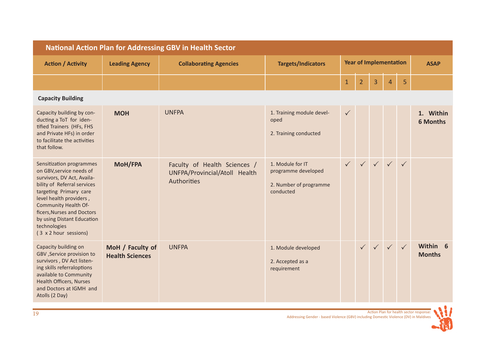| <b>National Action Plan for Addressing GBV in Health Sector</b>                                                                                                                                                                                                                                     |                                            |                                                                              |                                                                                |              |                |                               |              |              |                              |
|-----------------------------------------------------------------------------------------------------------------------------------------------------------------------------------------------------------------------------------------------------------------------------------------------------|--------------------------------------------|------------------------------------------------------------------------------|--------------------------------------------------------------------------------|--------------|----------------|-------------------------------|--------------|--------------|------------------------------|
| <b>Action / Activity</b>                                                                                                                                                                                                                                                                            | <b>Leading Agency</b>                      | <b>Collaborating Agencies</b>                                                | <b>Targets/Indicators</b>                                                      |              |                | <b>Year of Implementation</b> |              |              | <b>ASAP</b>                  |
|                                                                                                                                                                                                                                                                                                     |                                            |                                                                              |                                                                                | $\mathbf{1}$ | $\overline{2}$ | 3                             | 4            | 5            |                              |
| <b>Capacity Building</b>                                                                                                                                                                                                                                                                            |                                            |                                                                              |                                                                                |              |                |                               |              |              |                              |
| Capacity building by con-<br>ducting a ToT for iden-<br>tified Trainers (HFs, FHS<br>and Private HFs) in order<br>to facilitate the activities<br>that follow.                                                                                                                                      | <b>MOH</b>                                 | <b>UNFPA</b>                                                                 | 1. Training module devel-<br>oped<br>2. Training conducted                     | $\checkmark$ |                |                               |              |              | 1. Within<br><b>6 Months</b> |
| Sensitization programmes<br>on GBV, service needs of<br>survivors, DV Act, Availa-<br>bility of Referral services<br>targeting Primary care<br>level health providers,<br>Community Health Of-<br>ficers, Nurses and Doctors<br>by using Distant Education<br>technologies<br>(3 x 2 hour sessions) | <b>MoH/FPA</b>                             | Faculty of Health Sciences /<br>UNFPA/Provincial/Atoll Health<br>Authorities | 1. Module for IT<br>programme developed<br>2. Number of programme<br>conducted | $\checkmark$ |                | $\checkmark$ $\checkmark$     | $\sqrt{}$    | $\checkmark$ |                              |
| Capacity building on<br>GBV , Service provision to<br>survivors, DV Act listen-<br>ing skills referraloptions<br>available to Community<br><b>Health Officers, Nurses</b><br>and Doctors at IGMH and<br>Atolls (2 Day)                                                                              | MoH / Faculty of<br><b>Health Sciences</b> | <b>UNFPA</b>                                                                 | 1. Module developed<br>2. Accepted as a<br>requirement                         |              |                |                               | $\checkmark$ | $\checkmark$ | Within 6<br><b>Months</b>    |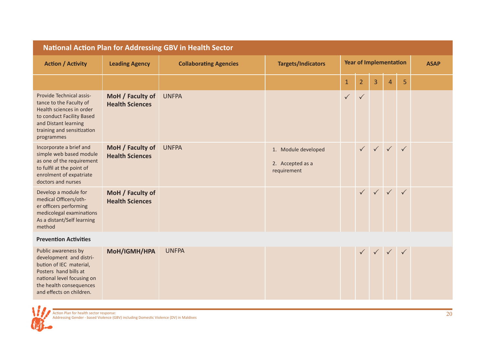| <b>National Action Plan for Addressing GBV in Health Sector</b>                                                                                                                         |                                            |                               |                                                        |                               |                |              |                           |              |  |
|-----------------------------------------------------------------------------------------------------------------------------------------------------------------------------------------|--------------------------------------------|-------------------------------|--------------------------------------------------------|-------------------------------|----------------|--------------|---------------------------|--------------|--|
| <b>Action / Activity</b>                                                                                                                                                                | <b>Leading Agency</b>                      | <b>Collaborating Agencies</b> | <b>Targets/Indicators</b>                              | <b>Year of Implementation</b> |                |              |                           | <b>ASAP</b>  |  |
|                                                                                                                                                                                         |                                            |                               |                                                        | $\mathbf{1}$                  | $\overline{2}$ | 3            | $\overline{4}$            | 5            |  |
| Provide Technical assis-<br>tance to the Faculty of<br>Health sciences in order<br>to conduct Facility Based<br>and Distant learning<br>training and sensitization<br>programmes        | MoH / Faculty of<br><b>Health Sciences</b> | <b>UNFPA</b>                  |                                                        | $\checkmark$                  | $\checkmark$   |              |                           |              |  |
| Incorporate a brief and<br>simple web based module<br>as one of the requirement<br>to fulfil at the point of<br>enrolment of expatriate<br>doctors and nurses                           | MoH / Faculty of<br><b>Health Sciences</b> | <b>UNFPA</b>                  | 1. Module developed<br>2. Accepted as a<br>requirement |                               |                | $\checkmark$ | $\sqrt{2}$                | $\checkmark$ |  |
| Develop a module for<br>medical Officers/oth-<br>er officers performing<br>medicolegal examinations<br>As a distant/Self learning<br>method                                             | MoH / Faculty of<br><b>Health Sciences</b> |                               |                                                        |                               |                |              | $\checkmark$ $\checkmark$ |              |  |
| <b>Prevention Activities</b>                                                                                                                                                            |                                            |                               |                                                        |                               |                |              |                           |              |  |
| Public awareness by<br>development and distri-<br>bution of IEC material,<br>Posters hand bills at<br>national level focusing on<br>the health consequences<br>and effects on children. | MoH/IGMH/HPA                               | <b>UNFPA</b>                  |                                                        |                               |                |              |                           |              |  |

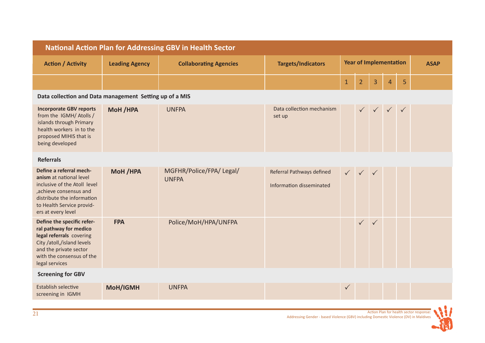| <b>National Action Plan for Addressing GBV in Health Sector</b>                                                                                                                               |                       |                                         |                                                       |              |                               |              |                |              |  |
|-----------------------------------------------------------------------------------------------------------------------------------------------------------------------------------------------|-----------------------|-----------------------------------------|-------------------------------------------------------|--------------|-------------------------------|--------------|----------------|--------------|--|
| <b>Action / Activity</b>                                                                                                                                                                      | <b>Leading Agency</b> | <b>Collaborating Agencies</b>           | <b>Targets/Indicators</b>                             |              | <b>Year of Implementation</b> |              |                | <b>ASAP</b>  |  |
|                                                                                                                                                                                               |                       |                                         |                                                       | $\mathbf{1}$ | $\overline{2}$                | 3            | $\overline{4}$ | 5            |  |
| Data collection and Data management Setting up of a MIS                                                                                                                                       |                       |                                         |                                                       |              |                               |              |                |              |  |
| <b>Incorporate GBV reports</b><br>from the IGMH/ Atolls /<br>islands through Primary<br>health workers in to the<br>proposed MIHIS that is<br>being developed                                 | MoH /HPA              | <b>UNFPA</b>                            | Data collection mechanism<br>set up                   |              |                               |              |                | $\checkmark$ |  |
| <b>Referrals</b>                                                                                                                                                                              |                       |                                         |                                                       |              |                               |              |                |              |  |
| Define a referral mech-<br>anism at national level<br>inclusive of the Atoll level<br>,achieve consensus and<br>distribute the information<br>to Health Service provid-<br>ers at every level | MoH /HPA              | MGFHR/Police/FPA/Legal/<br><b>UNFPA</b> | Referral Pathways defined<br>Information disseminated |              | $\checkmark$                  | $\sqrt{ }$   |                |              |  |
| Define the specific refer-<br>ral pathway for medico<br>legal referrals covering<br>City /atoll,/island levels<br>and the private sector<br>with the consensus of the<br>legal services       | <b>FPA</b>            | Police/MoH/HPA/UNFPA                    |                                                       |              | $\checkmark$                  | $\checkmark$ |                |              |  |
| <b>Screening for GBV</b>                                                                                                                                                                      |                       |                                         |                                                       |              |                               |              |                |              |  |
| Establish selective<br>screening in IGMH                                                                                                                                                      | MoH/IGMH              | <b>UNFPA</b>                            |                                                       | $\checkmark$ |                               |              |                |              |  |

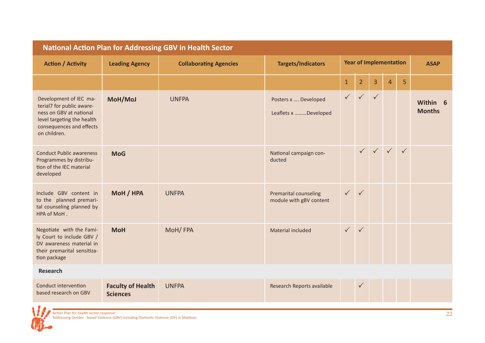| <b>National Action Plan for Addressing GBV in Health Sector</b>                                                                                          |                                             |                               |                                                         |              |                               |              |                |              |                           |
|----------------------------------------------------------------------------------------------------------------------------------------------------------|---------------------------------------------|-------------------------------|---------------------------------------------------------|--------------|-------------------------------|--------------|----------------|--------------|---------------------------|
| <b>Action / Activity</b>                                                                                                                                 | <b>Leading Agency</b>                       | <b>Collaborating Agencies</b> | <b>Targets/Indicators</b>                               |              | <b>Year of Implementation</b> |              |                |              | <b>ASAP</b>               |
|                                                                                                                                                          |                                             |                               |                                                         | $\mathbf{1}$ | $\overline{2}$                | 3            | $\overline{4}$ | 5            |                           |
| Development of IEC ma-<br>terial7 for public aware-<br>ness on GBV at national<br>level targeting the health<br>consequences and effects<br>on children. | MoH/MoJ                                     | <b>UNFPA</b>                  | Posters x  Developed<br>Leaflets x Developed            | $\sqrt{2}$   | $\sqrt{}$                     | $\checkmark$ |                |              | Within 6<br><b>Months</b> |
| <b>Conduct Public awareness</b><br>Programmes by distribu-<br>tion of the IEC material<br>developed                                                      | <b>MoG</b>                                  |                               | National campaign con-<br>ducted                        |              |                               | $\sqrt{}$    | $\sqrt{}$      | $\checkmark$ |                           |
| Include GBV content in<br>to the planned premari-<br>tal counseling planned by<br>HPA of MoH.                                                            | MoH / HPA                                   | <b>UNFPA</b>                  | <b>Premarital counseling</b><br>module with gBV content | $\checkmark$ | $\checkmark$                  |              |                |              |                           |
| Negotiate with the Fami-<br>ly Court to include GBV /<br>DV awareness material in<br>their premarital sensitiza-<br>tion package                         | <b>MoH</b>                                  | MoH/FPA                       | Material included                                       | $\checkmark$ | $\checkmark$                  |              |                |              |                           |
| Research                                                                                                                                                 |                                             |                               |                                                         |              |                               |              |                |              |                           |
| Conduct intervention<br>based research on GBV                                                                                                            | <b>Faculty of Health</b><br><b>Sciences</b> | <b>UNFPA</b>                  | Research Reports available                              |              | $\checkmark$                  |              |                |              |                           |

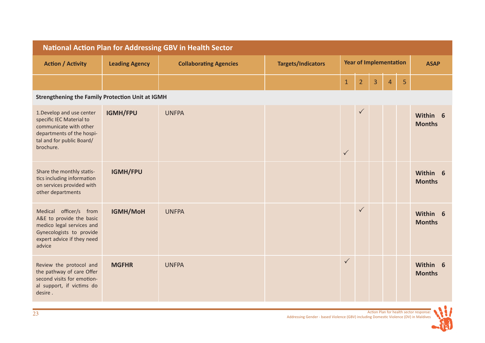| <b>National Action Plan for Addressing GBV in Health Sector</b>                                                                                        |                       |                               |                           |                               |                |   |                |                |                           |
|--------------------------------------------------------------------------------------------------------------------------------------------------------|-----------------------|-------------------------------|---------------------------|-------------------------------|----------------|---|----------------|----------------|---------------------------|
| <b>Action / Activity</b>                                                                                                                               | <b>Leading Agency</b> | <b>Collaborating Agencies</b> | <b>Targets/Indicators</b> | <b>Year of Implementation</b> |                |   |                | <b>ASAP</b>    |                           |
|                                                                                                                                                        |                       |                               |                           | $\mathbf{1}$                  | $\overline{2}$ | 3 | $\overline{4}$ | $\overline{5}$ |                           |
| <b>Strengthening the Family Protection Unit at IGMH</b>                                                                                                |                       |                               |                           |                               |                |   |                |                |                           |
| 1. Develop and use center<br>specific IEC Material to<br>communicate with other<br>departments of the hospi-<br>tal and for public Board/<br>brochure. | IGMH/FPU              | <b>UNFPA</b>                  |                           | $\checkmark$                  | $\checkmark$   |   |                |                | Within 6<br><b>Months</b> |
| Share the monthly statis-<br>tics including information<br>on services provided with<br>other departments                                              | IGMH/FPU              |                               |                           |                               |                |   |                |                | Within 6<br><b>Months</b> |
| Medical officer/s from<br>A&E to provide the basic<br>medico legal services and<br>Gynecologists to provide<br>expert advice if they need<br>advice    | <b>IGMH/MoH</b>       | <b>UNFPA</b>                  |                           |                               | $\checkmark$   |   |                |                | Within 6<br><b>Months</b> |
| Review the protocol and<br>the pathway of care Offer<br>second visits for emotion-<br>al support, if victims do<br>desire.                             | <b>MGFHR</b>          | <b>UNFPA</b>                  |                           | $\checkmark$                  |                |   |                |                | Within 6<br><b>Months</b> |

1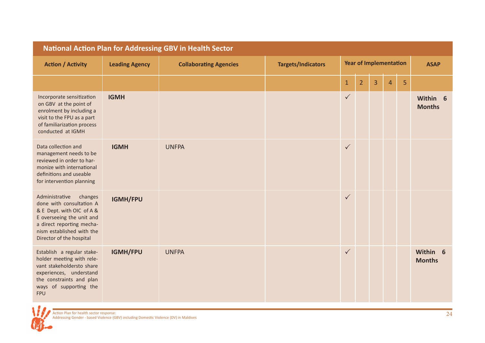| <b>National Action Plan for Addressing GBV in Health Sector</b>                                                                                                                                       |                       |                               |                           |                               |                |   |                |             |                           |
|-------------------------------------------------------------------------------------------------------------------------------------------------------------------------------------------------------|-----------------------|-------------------------------|---------------------------|-------------------------------|----------------|---|----------------|-------------|---------------------------|
| <b>Action / Activity</b>                                                                                                                                                                              | <b>Leading Agency</b> | <b>Collaborating Agencies</b> | <b>Targets/Indicators</b> | <b>Year of Implementation</b> |                |   |                | <b>ASAP</b> |                           |
|                                                                                                                                                                                                       |                       |                               |                           | $\mathbf 1$                   | $\overline{2}$ | 3 | $\overline{4}$ | 5           |                           |
| Incorporate sensitization<br>on GBV at the point of<br>enrolment by including a<br>visit to the FPU as a part<br>of familiarization process<br>conducted at IGMH                                      | <b>IGMH</b>           |                               |                           | $\checkmark$                  |                |   |                |             | Within 6<br><b>Months</b> |
| Data collection and<br>management needs to be<br>reviewed in order to har-<br>monize with international<br>definitions and useable<br>for intervention planning                                       | <b>IGMH</b>           | <b>UNFPA</b>                  |                           | $\checkmark$                  |                |   |                |             |                           |
| Administrative<br>changes<br>done with consultation A<br>& E Dept. with OIC of A &<br>E overseeing the unit and<br>a direct reporting mecha-<br>nism established with the<br>Director of the hospital | <b>IGMH/FPU</b>       |                               |                           | $\checkmark$                  |                |   |                |             |                           |
| Establish a regular stake-<br>holder meeting with rele-<br>vant stakeholdersto share<br>experiences, understand<br>the constraints and plan<br>ways of supporting the<br><b>FPU</b>                   | IGMH/FPU              | <b>UNFPA</b>                  |                           | $\checkmark$                  |                |   |                |             | Within 6<br><b>Months</b> |

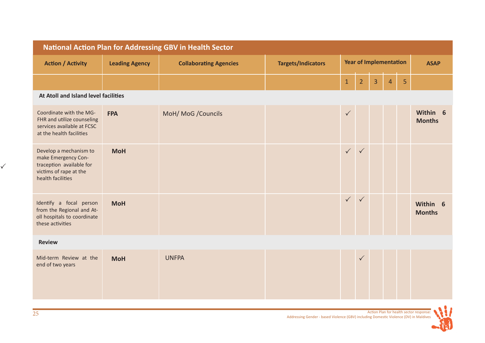| <b>National Action Plan for Addressing GBV in Health Sector</b>                                                          |                       |                               |                           |                               |                |   |                |             |                           |
|--------------------------------------------------------------------------------------------------------------------------|-----------------------|-------------------------------|---------------------------|-------------------------------|----------------|---|----------------|-------------|---------------------------|
| <b>Action / Activity</b>                                                                                                 | <b>Leading Agency</b> | <b>Collaborating Agencies</b> | <b>Targets/Indicators</b> | <b>Year of Implementation</b> |                |   |                | <b>ASAP</b> |                           |
|                                                                                                                          |                       |                               |                           | $\mathbf{1}$                  | $\overline{2}$ | 3 | $\overline{4}$ | 5           |                           |
| At Atoll and Island level facilities                                                                                     |                       |                               |                           |                               |                |   |                |             |                           |
| Coordinate with the MG-<br>FHR and utilize counseling<br>services available at FCSC<br>at the health facilities          | <b>FPA</b>            | MoH/ MoG / Councils           |                           | $\checkmark$                  |                |   |                |             | Within 6<br><b>Months</b> |
| Develop a mechanism to<br>make Emergency Con-<br>traception available for<br>victims of rape at the<br>health facilities | <b>MoH</b>            |                               |                           | $\checkmark$                  | $\checkmark$   |   |                |             |                           |
| Identify a focal person<br>from the Regional and At-<br>oll hospitals to coordinate<br>these activities                  | <b>MoH</b>            |                               |                           | $\checkmark$                  | $\checkmark$   |   |                |             | Within 6<br><b>Months</b> |
| <b>Review</b>                                                                                                            |                       |                               |                           |                               |                |   |                |             |                           |
| Mid-term Review at the<br>end of two years                                                                               | <b>MoH</b>            | <b>UNFPA</b>                  |                           |                               | $\checkmark$   |   |                |             |                           |

1

 $\checkmark$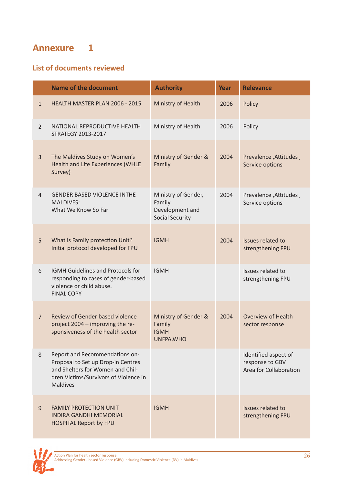# **Annexure 1**

# **List of documents reviewed**

|                | <b>Name of the document</b>                                                                                                                                          | <b>Authority</b>                                                           | Year | <b>Relevance</b>                                                  |
|----------------|----------------------------------------------------------------------------------------------------------------------------------------------------------------------|----------------------------------------------------------------------------|------|-------------------------------------------------------------------|
| $\mathbf{1}$   | HEALTH MASTER PLAN 2006 - 2015                                                                                                                                       | Ministry of Health                                                         | 2006 | Policy                                                            |
| $\overline{2}$ | NATIONAL REPRODUCTIVE HEALTH<br><b>STRATEGY 2013-2017</b>                                                                                                            | Ministry of Health                                                         | 2006 | Policy                                                            |
| $\overline{3}$ | The Maldives Study on Women's<br>Health and Life Experiences (WHLE<br>Survey)                                                                                        | Ministry of Gender &<br>Family                                             | 2004 | Prevalence, Attitudes,<br>Service options                         |
| 4              | <b>GENDER BASED VIOLENCE INTHE</b><br><b>MALDIVES:</b><br>What We Know So Far                                                                                        | Ministry of Gender,<br>Family<br>Development and<br><b>Social Security</b> | 2004 | Prevalence, Attitudes,<br>Service options                         |
| 5              | What is Family protection Unit?<br>Initial protocol developed for FPU                                                                                                | <b>IGMH</b>                                                                | 2004 | Issues related to<br>strengthening FPU                            |
| 6              | <b>IGMH Guidelines and Protocols for</b><br>responding to cases of gender-based<br>violence or child abuse.<br><b>FINAL COPY</b>                                     | <b>IGMH</b>                                                                |      | Issues related to<br>strengthening FPU                            |
| $\overline{7}$ | Review of Gender based violence<br>project 2004 - improving the re-<br>sponsiveness of the health sector                                                             | Ministry of Gender &<br>Family<br><b>IGMH</b><br>UNFPA, WHO                | 2004 | <b>Overview of Health</b><br>sector response                      |
| 8              | Report and Recommendations on-<br>Proposal to Set up Drop-in Centres<br>and Shelters for Women and Chil-<br>dren Victims/Survivors of Violence in<br><b>Maldives</b> |                                                                            |      | Identified aspect of<br>response to GBV<br>Area for Collaboration |
| $\overline{9}$ | <b>FAMILY PROTECTION UNIT</b><br><b>INDIRA GANDHI MEMORIAL</b><br><b>HOSPITAL Report by FPU</b>                                                                      | <b>IGMH</b>                                                                |      | Issues related to<br>strengthening FPU                            |

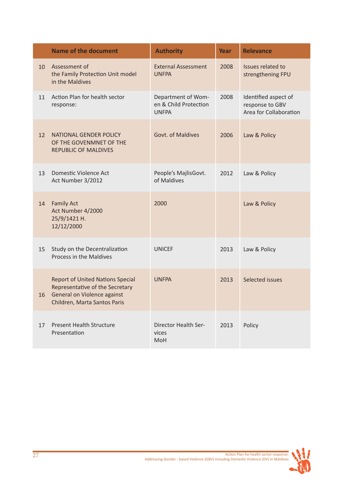|    | <b>Name of the document</b>                                                                                                               | <b>Authority</b>                                            | Year | <b>Relevance</b>                                                  |
|----|-------------------------------------------------------------------------------------------------------------------------------------------|-------------------------------------------------------------|------|-------------------------------------------------------------------|
| 10 | Assessment of<br>the Family Protection Unit model<br>in the Maldives                                                                      | <b>External Assessment</b><br><b>UNFPA</b>                  | 2008 | Issues related to<br>strengthening FPU                            |
| 11 | Action Plan for health sector<br>response:                                                                                                | Department of Wom-<br>en & Child Protection<br><b>UNFPA</b> | 2008 | Identified aspect of<br>response to GBV<br>Area for Collaboration |
| 12 | <b>NATIONAL GENDER POLICY</b><br>OF THE GOVENMNET OF THE<br><b>REPUBLIC OF MALDIVES</b>                                                   | Govt. of Maldives                                           | 2006 | Law & Policy                                                      |
| 13 | Domestic Violence Act<br>Act Number 3/2012                                                                                                | People's MajlisGovt.<br>of Maldives                         | 2012 | Law & Policy                                                      |
| 14 | <b>Family Act</b><br>Act Number 4/2000<br>25/9/1421 H.<br>12/12/2000                                                                      | 2000                                                        |      | Law & Policy                                                      |
| 15 | Study on the Decentralization<br>Process in the Maldives                                                                                  | <b>UNICEF</b>                                               | 2013 | Law & Policy                                                      |
| 16 | <b>Report of United Nations Special</b><br>Representative of the Secretary<br>General on Violence against<br>Children, Marta Santos Paris | <b>UNFPA</b>                                                | 2013 | Selected issues                                                   |
| 17 | <b>Present Health Structure</b><br>Presentation                                                                                           | Director Health Ser-<br>vices<br>MoH                        | 2013 | Policy                                                            |

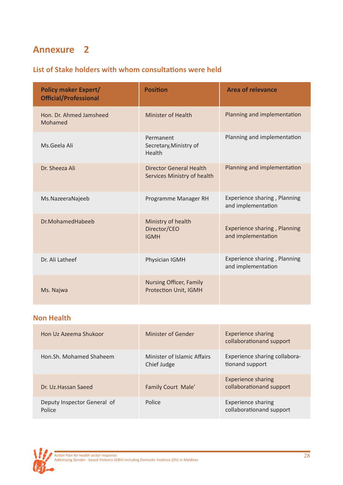# **Annexure 2**

# **List of Stake holders with whom consultations were held**

| <b>Policy maker Expert/</b><br><b>Official/Professional</b> | <b>Position</b>                                                | <b>Area of relevance</b>                           |
|-------------------------------------------------------------|----------------------------------------------------------------|----------------------------------------------------|
| Hon. Dr. Ahmed Jamsheed<br>Mohamed                          | <b>Minister of Health</b>                                      | Planning and implementation                        |
| Ms.Geela Ali                                                | Permanent<br>Secretary, Ministry of<br>Health                  | Planning and implementation                        |
| Dr. Sheeza Ali                                              | <b>Director General Health</b><br>Services Ministry of health  | Planning and implementation                        |
| Ms.NazeeraNajeeb                                            | Programme Manager RH                                           | Experience sharing, Planning<br>and implementation |
| Dr.MohamedHabeeb                                            | Ministry of health<br>Director/CEO<br><b>IGMH</b>              | Experience sharing, Planning<br>and implementation |
| Dr. Ali Latheef                                             | Physician IGMH                                                 | Experience sharing, Planning<br>and implementation |
| Ms. Najwa                                                   | <b>Nursing Officer, Family</b><br><b>Protection Unit, IGMH</b> |                                                    |

# **Non Health**

| Hon Uz Azeema Shukoor                 | Minister of Gender                         | <b>Experience sharing</b><br>collaborationand support |
|---------------------------------------|--------------------------------------------|-------------------------------------------------------|
| Hon.Sh. Mohamed Shaheem               | Minister of Islamic Affairs<br>Chief Judge | Experience sharing collabora-<br>tionand support      |
| Dr. Uz. Hassan Saeed                  | Family Court Male'                         | <b>Experience sharing</b><br>collaborationand support |
| Deputy Inspector General of<br>Police | Police                                     | <b>Experience sharing</b><br>collaborationand support |

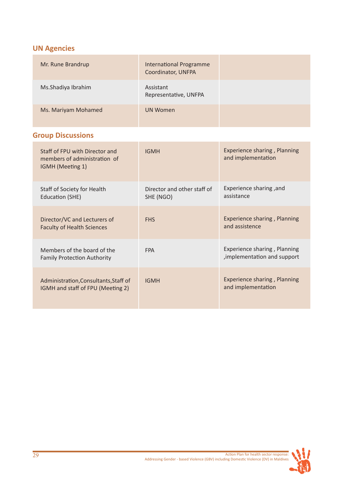# **UN Agencies**

| Mr. Rune Brandrup   | <b>International Programme</b><br>Coordinator, UNFPA |  |
|---------------------|------------------------------------------------------|--|
| Ms.Shadiya Ibrahim  | Assistant<br>Representative, UNFPA                   |  |
| Ms. Mariyam Mohamed | UN Women                                             |  |

# **Group Discussions**

| Staff of FPU with Director and<br>members of administration of<br>IGMH (Meeting 1) | <b>IGMH</b>                              | Experience sharing, Planning<br>and implementation           |
|------------------------------------------------------------------------------------|------------------------------------------|--------------------------------------------------------------|
| Staff of Society for Health<br>Education (SHE)                                     | Director and other staff of<br>SHE (NGO) | Experience sharing, and<br>assistance                        |
| Director/VC and Lecturers of<br><b>Faculty of Health Sciences</b>                  | <b>FHS</b>                               | Experience sharing, Planning<br>and assistence               |
| Members of the board of the<br><b>Family Protection Authority</b>                  | <b>FPA</b>                               | Experience sharing, Planning<br>, implementation and support |
| Administration, Consultants, Staff of<br>IGMH and staff of FPU (Meeting 2)         | <b>IGMH</b>                              | Experience sharing, Planning<br>and implementation           |

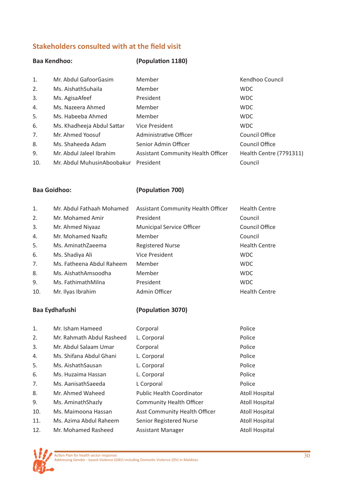# **Stakeholders consulted with at the field visit**

# **Baa Kendhoo: (Population 1180)**

| 1.  | Mr. Abdul GafoorGasim      | Member                                    | Kendhoo Council         |
|-----|----------------------------|-------------------------------------------|-------------------------|
| 2.  | Ms. AishathSuhaila         | Member                                    | <b>WDC</b>              |
| 3.  | Ms. AgisaAfeef             | President                                 | <b>WDC</b>              |
| 4.  | Ms. Nazeera Ahmed          | Member                                    | <b>WDC</b>              |
| 5.  | Ms. Habeeba Ahmed          | Member                                    | <b>WDC</b>              |
| 6.  | Ms. Khadheeja Abdul Sattar | <b>Vice President</b>                     | <b>WDC</b>              |
| 7.  | Mr. Ahmed Yoosuf           | Administrative Officer                    | Council Office          |
| 8.  | Ms. Shaheeda Adam          | Senior Admin Officer                      | Council Office          |
| 9.  | Mr. Abdul Jaleel Ibrahim   | <b>Assistant Community Health Officer</b> | Health Centre (7791311) |
| 10. | Mr. Abdul MuhusinAboobakur | President                                 | Council                 |

# **Baa Goidhoo: (Population 700)**

| 1.  | Mr. Abdul Fathaah Mohamed | <b>Assistant Community Health Officer</b> | <b>Health Centre</b> |
|-----|---------------------------|-------------------------------------------|----------------------|
| 2.  | Mr. Mohamed Amir          | President                                 | Council              |
| 3.  | Mr. Ahmed Niyaaz          | <b>Municipal Service Officer</b>          | Council Office       |
| 4.  | Mr. Mohamed Naafiz        | Member                                    | Council              |
| 5.  | Ms. AminathZaeema         | <b>Registered Nurse</b>                   | <b>Health Centre</b> |
| 6.  | Ms. Shadiya Ali           | <b>Vice President</b>                     | <b>WDC</b>           |
| 7.  | Ms. Fatheena Abdul Raheem | Member                                    | <b>WDC</b>           |
| 8.  | Ms. AishathAmsoodha       | Member                                    | <b>WDC</b>           |
| 9.  | Ms. FathimathMilna        | President                                 | <b>WDC</b>           |
| 10. | Mr. Ilyas Ibrahim         | Admin Officer                             | <b>Health Centre</b> |

# **Baa Eydhafushi (Population 3070)**

| 1.  | Mr. Isham Hameed          | Corporal                             | Police                |
|-----|---------------------------|--------------------------------------|-----------------------|
| 2.  | Mr. Rahmath Abdul Rasheed | L. Corporal                          | Police                |
| 3.  | Mr. Abdul Salaam Umar     | Corporal                             | Police                |
| 4.  | Ms. Shifana Abdul Ghani   | L. Corporal                          | Police                |
| 5.  | Ms. Aishath Sausan        | L. Corporal                          | Police                |
| 6.  | Ms. Huzaima Hassan        | L. Corporal                          | Police                |
| 7.  | Ms. AanisathSaeeda        | L Corporal                           | Police                |
| 8.  | Mr. Ahmed Waheed          | <b>Public Health Coordinator</b>     | <b>Atoll Hospital</b> |
| 9.  | Ms. Aminath Shazly        | <b>Community Health Officer</b>      | <b>Atoll Hospital</b> |
| 10. | Ms. Maimoona Hassan       | <b>Asst Community Health Officer</b> | <b>Atoll Hospital</b> |
| 11. | Ms. Azima Abdul Raheem    | Senior Registered Nurse              | <b>Atoll Hospital</b> |
| 12. | Mr. Mohamed Rasheed       | Assistant Manager                    | <b>Atoll Hospital</b> |

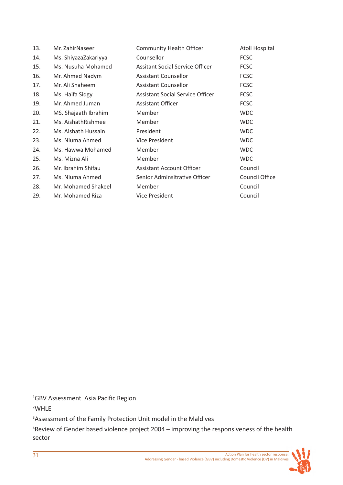| 13. | Mr. ZahirNaseer      | <b>Community Health Officer</b>         | <b>Atoll Hospital</b> |
|-----|----------------------|-----------------------------------------|-----------------------|
| 14. | Ms. ShiyazaZakariyya | Counsellor                              | <b>FCSC</b>           |
| 15. | Ms. Nusuha Mohamed   | Assitant Social Service Officer         | <b>FCSC</b>           |
| 16. | Mr. Ahmed Nadym      | <b>Assistant Counsellor</b>             | <b>FCSC</b>           |
| 17. | Mr. Ali Shaheem      | <b>Assistant Counsellor</b>             | <b>FCSC</b>           |
| 18. | Ms. Haifa Sidgy      | <b>Assistant Social Service Officer</b> | <b>FCSC</b>           |
| 19. | Mr. Ahmed Juman      | Assistant Officer                       | <b>FCSC</b>           |
| 20. | MS. Shajaath Ibrahim | Member                                  | <b>WDC</b>            |
| 21. | Ms. AishathRishmee   | Member                                  | <b>WDC</b>            |
| 22. | Ms. Aishath Hussain  | President                               | <b>WDC</b>            |
| 23. | Ms. Niuma Ahmed      | <b>Vice President</b>                   | <b>WDC</b>            |
| 24. | Ms. Hawwa Mohamed    | Member                                  | <b>WDC</b>            |
| 25. | Ms. Mizna Ali        | Member                                  | <b>WDC</b>            |
| 26. | Mr. Ibrahim Shifau   | Assistant Account Officer               | Council               |
| 27. | Ms. Niuma Ahmed      | Senior Adminsitrative Officer           | Council Office        |
| 28. | Mr. Mohamed Shakeel  | Member                                  | Council               |
| 29. | Mr. Mohamed Riza     | Vice President                          | Council               |

1 GBV Assessment Asia Pacific Region

2 WHLE

3 Assessment of the Family Protection Unit model in the Maldives

4 Review of Gender based violence project 2004 – improving the responsiveness of the health sector